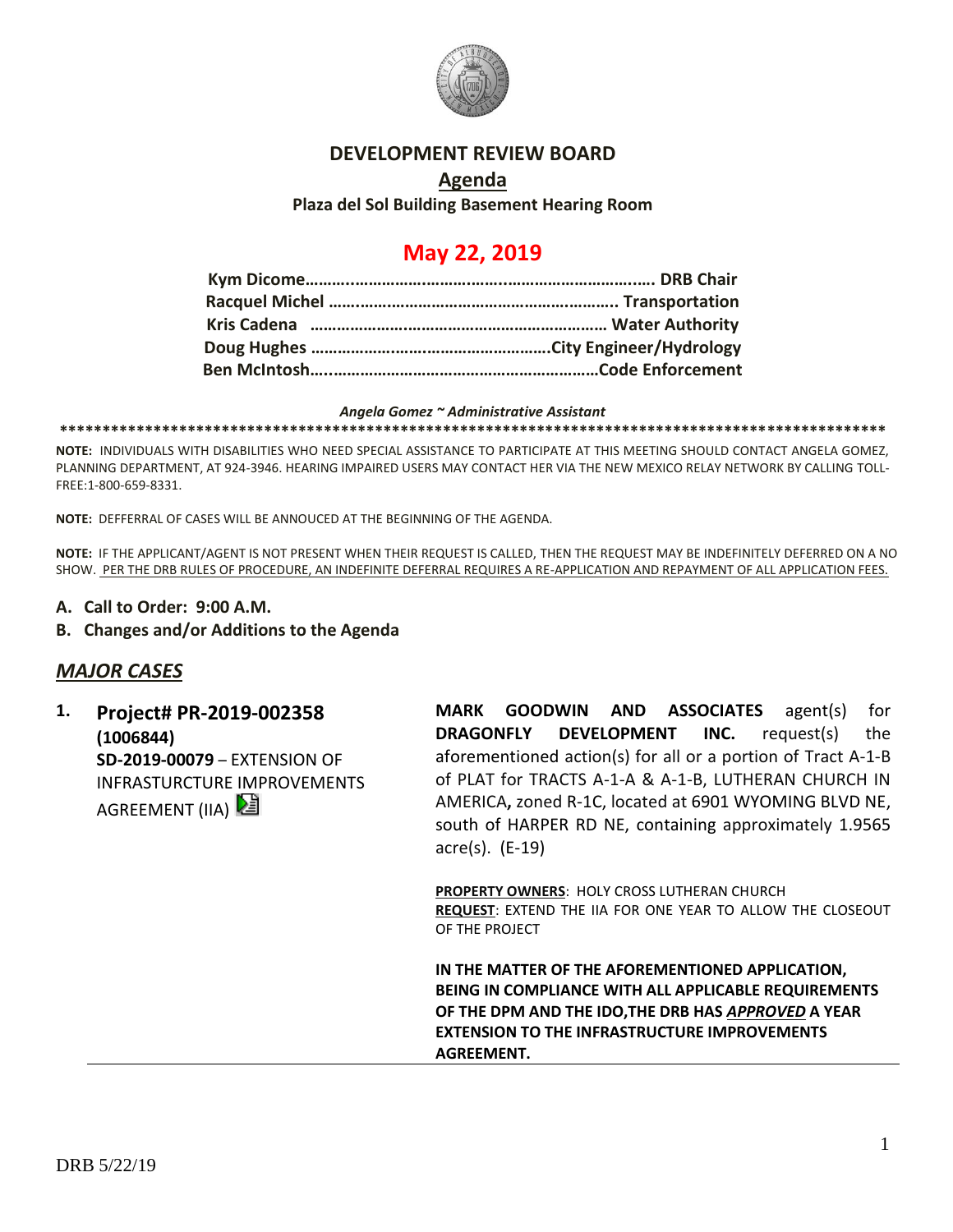

### **DEVELOPMENT REVIEW BOARD**

### **Agenda Plaza del Sol Building Basement Hearing Room**

# **May 22, 2019**

#### *Angela Gomez ~ Administrative Assistant*

**\*\*\*\*\*\*\*\*\*\*\*\*\*\*\*\*\*\*\*\*\*\*\*\*\*\*\*\*\*\*\*\*\*\*\*\*\*\*\*\*\*\*\*\*\*\*\*\*\*\*\*\*\*\*\*\*\*\*\*\*\*\*\*\*\*\*\*\*\*\*\*\*\*\*\*\*\*\*\*\*\*\*\*\*\*\*\*\*\*\*\*\*\*\*\*\*\***

**NOTE:** INDIVIDUALS WITH DISABILITIES WHO NEED SPECIAL ASSISTANCE TO PARTICIPATE AT THIS MEETING SHOULD CONTACT ANGELA GOMEZ, PLANNING DEPARTMENT, AT 924-3946. HEARING IMPAIRED USERS MAY CONTACT HER VIA THE NEW MEXICO RELAY NETWORK BY CALLING TOLL-FREE:1-800-659-8331.

**NOTE:** DEFFERRAL OF CASES WILL BE ANNOUCED AT THE BEGINNING OF THE AGENDA.

**NOTE:** IF THE APPLICANT/AGENT IS NOT PRESENT WHEN THEIR REQUEST IS CALLED, THEN THE REQUEST MAY BE INDEFINITELY DEFERRED ON A NO SHOW. PER THE DRB RULES OF PROCEDURE, AN INDEFINITE DEFERRAL REQUIRES A RE-APPLICATION AND REPAYMENT OF ALL APPLICATION FEES.

- **A. Call to Order: 9:00 A.M.**
- **B. Changes and/or Additions to the Agenda**

### *MAJOR CASES*

**1. Project# PR-2019-002358 (1006844) SD-2019-00079** – EXTENSION OF INFRASTURCTURE IMPROVEMENTS AGREEMENT (IIA)

**MARK GOODWIN AND ASSOCIATES** agent(s) for **DRAGONFLY DEVELOPMENT INC.** request(s) the aforementioned action(s) for all or a portion of Tract A-1-B of PLAT for TRACTS A-1-A & A-1-B, LUTHERAN CHURCH IN AMERICA**,** zoned R-1C, located at 6901 WYOMING BLVD NE, south of HARPER RD NE, containing approximately 1.9565 acre(s). (E-19)

**PROPERTY OWNERS**: HOLY CROSS LUTHERAN CHURCH **REQUEST**: EXTEND THE IIA FOR ONE YEAR TO ALLOW THE CLOSEOUT OF THE PROJECT

**IN THE MATTER OF THE AFOREMENTIONED APPLICATION, BEING IN COMPLIANCE WITH ALL APPLICABLE REQUIREMENTS OF THE DPM AND THE IDO,THE DRB HAS** *APPROVED* **A YEAR EXTENSION TO THE INFRASTRUCTURE IMPROVEMENTS AGREEMENT.**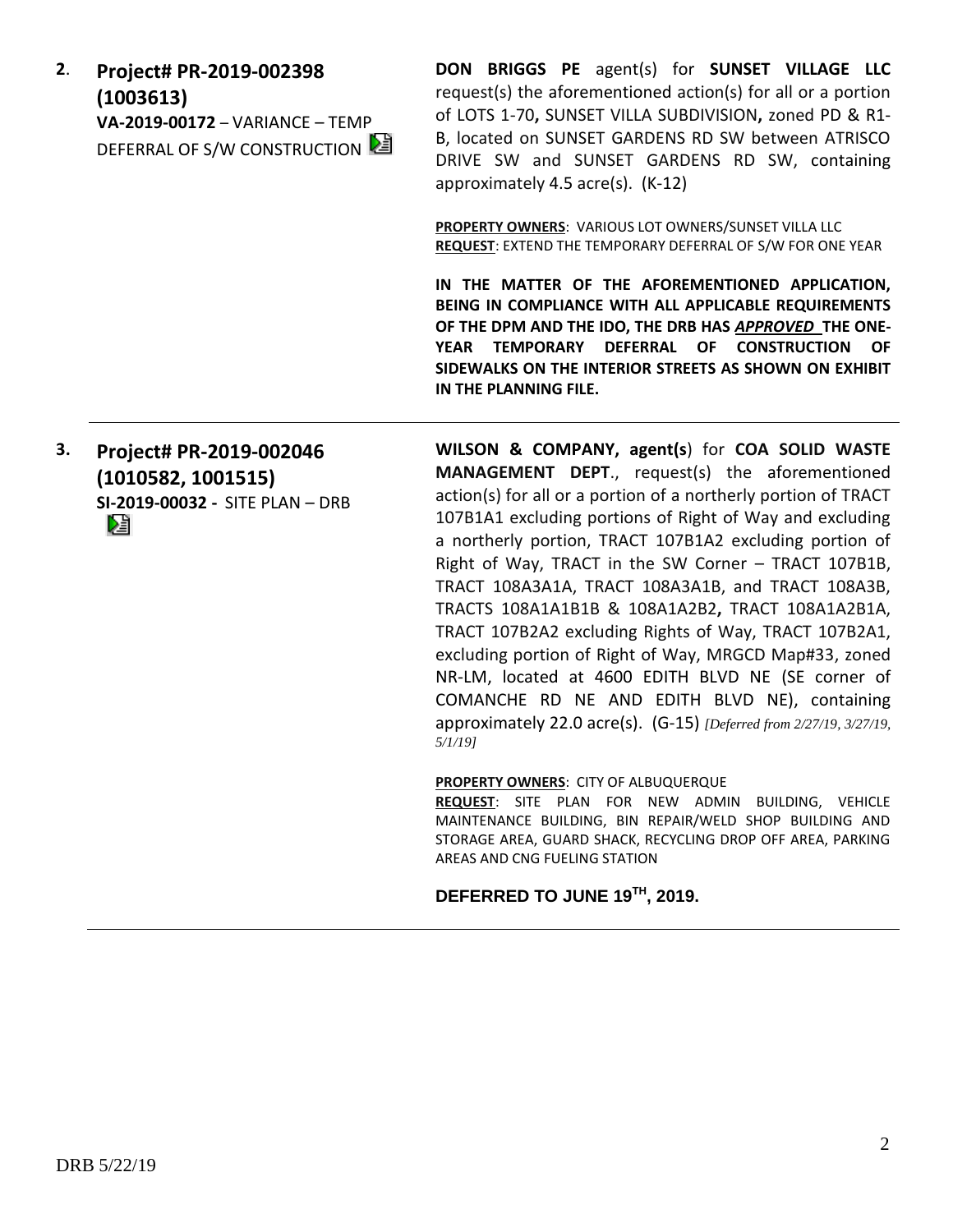**2**. **Project# PR-2019-002398 (1003613) VA-2019-00172** – VARIANCE – TEMP DEFERRAL OF S/W CONSTRUCTION **DON BRIGGS PE** agent(s) for **SUNSET VILLAGE LLC** request(s) the aforementioned action(s) for all or a portion of LOTS 1-70**,** SUNSET VILLA SUBDIVISION**,** zoned PD & R1- B, located on SUNSET GARDENS RD SW between ATRISCO DRIVE SW and SUNSET GARDENS RD SW, containing approximately 4.5 acre(s). (K-12)

**PROPERTY OWNERS**: VARIOUS LOT OWNERS/SUNSET VILLA LLC **REQUEST**: EXTEND THE TEMPORARY DEFERRAL OF S/W FOR ONE YEAR

**IN THE MATTER OF THE AFOREMENTIONED APPLICATION, BEING IN COMPLIANCE WITH ALL APPLICABLE REQUIREMENTS OF THE DPM AND THE IDO, THE DRB HAS** *APPROVED* **THE ONE-YEAR TEMPORARY DEFERRAL OF CONSTRUCTION OF SIDEWALKS ON THE INTERIOR STREETS AS SHOWN ON EXHIBIT IN THE PLANNING FILE.** 

**3. Project# PR-2019-002046 (1010582, 1001515) SI-2019-00032 -** SITE PLAN – DRB Dâ

**WILSON & COMPANY, agent(s**) for **COA SOLID WASTE MANAGEMENT DEPT**., request(s) the aforementioned action(s) for all or a portion of a northerly portion of TRACT 107B1A1 excluding portions of Right of Way and excluding a northerly portion, TRACT 107B1A2 excluding portion of Right of Way, TRACT in the SW Corner – TRACT 107B1B, TRACT 108A3A1A, TRACT 108A3A1B, and TRACT 108A3B, TRACTS 108A1A1B1B & 108A1A2B2**,** TRACT 108A1A2B1A, TRACT 107B2A2 excluding Rights of Way, TRACT 107B2A1, excluding portion of Right of Way, MRGCD Map#33, zoned NR-LM, located at 4600 EDITH BLVD NE (SE corner of COMANCHE RD NE AND EDITH BLVD NE), containing approximately 22.0 acre(s). (G-15) *[Deferred from 2/27/19, 3/27/19, 5/1/19]*

**PROPERTY OWNERS**: CITY OF ALBUQUERQUE

**REQUEST**: SITE PLAN FOR NEW ADMIN BUILDING, VEHICLE MAINTENANCE BUILDING, BIN REPAIR/WELD SHOP BUILDING AND STORAGE AREA, GUARD SHACK, RECYCLING DROP OFF AREA, PARKING AREAS AND CNG FUELING STATION

**DEFERRED TO JUNE 19TH, 2019.**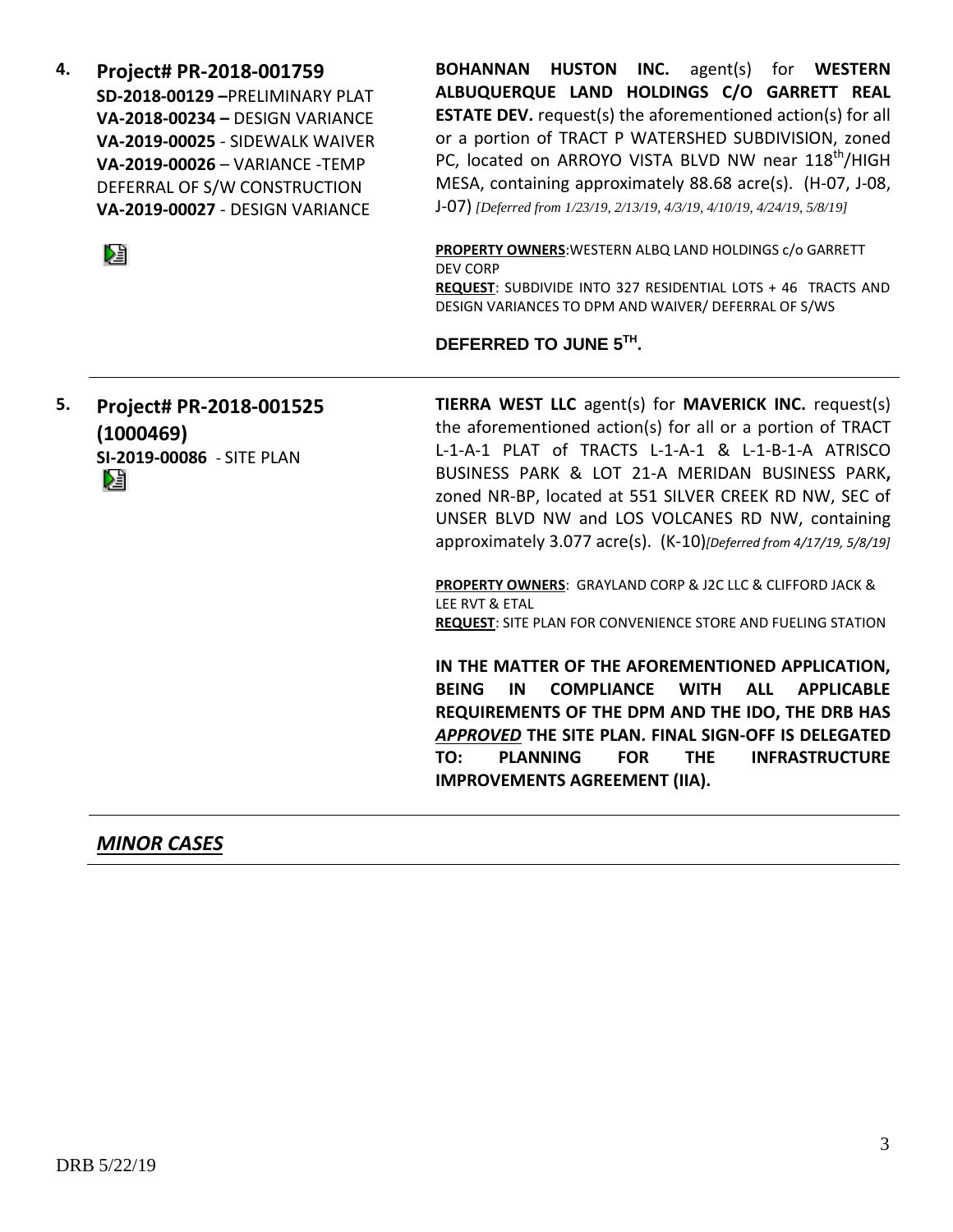**4. Project# PR-2018-001759 SD-2018-00129 –**PRELIMINARY PLAT **VA-2018-00234 –** DESIGN VARIANCE **VA-2019-00025** - SIDEWALK WAIVER **VA-2019-00026** – VARIANCE -TEMP DEFERRAL OF S/W CONSTRUCTION **VA-2019-00027** - DESIGN VARIANCE

阻

**BOHANNAN HUSTON INC.** agent(s) for **WESTERN ALBUQUERQUE LAND HOLDINGS C/O GARRETT REAL ESTATE DEV.** request(s) the aforementioned action(s) for all or a portion of TRACT P WATERSHED SUBDIVISION, zoned PC, located on ARROYO VISTA BLVD NW near 118<sup>th</sup>/HIGH MESA, containing approximately 88.68 acre(s). (H-07, J-08, J-07) *[Deferred from 1/23/19, 2/13/19, 4/3/19, 4/10/19, 4/24/19, 5/8/19]*

**PROPERTY OWNERS**:WESTERN ALBQ LAND HOLDINGS c/o GARRETT DEV CORP **REQUEST**: SUBDIVIDE INTO 327 RESIDENTIAL LOTS + 46 TRACTS AND DESIGN VARIANCES TO DPM AND WAIVER/ DEFERRAL OF S/WS

### **DEFERRED TO JUNE 5TH .**

**5. Project# PR-2018-001525 (1000469) SI-2019-00086** - SITE PLAN Dà

**TIERRA WEST LLC** agent(s) for **MAVERICK INC.** request(s) the aforementioned action(s) for all or a portion of TRACT L-1-A-1 PLAT of TRACTS L-1-A-1 & L-1-B-1-A ATRISCO BUSINESS PARK & LOT 21-A MERIDAN BUSINESS PARK**,**  zoned NR-BP, located at 551 SILVER CREEK RD NW, SEC of UNSER BLVD NW and LOS VOLCANES RD NW, containing approximately 3.077 acre(s). (K-10)*[Deferred from 4/17/19, 5/8/19]*

**PROPERTY OWNERS**: GRAYLAND CORP & J2C LLC & CLIFFORD JACK & LEE RVT & ETAL **REQUEST**: SITE PLAN FOR CONVENIENCE STORE AND FUELING STATION

**IN THE MATTER OF THE AFOREMENTIONED APPLICATION, BEING IN COMPLIANCE WITH ALL APPLICABLE REQUIREMENTS OF THE DPM AND THE IDO, THE DRB HAS**  *APPROVED* **THE SITE PLAN. FINAL SIGN-OFF IS DELEGATED TO: PLANNING FOR THE INFRASTRUCTURE IMPROVEMENTS AGREEMENT (IIA).**

*MINOR CASES*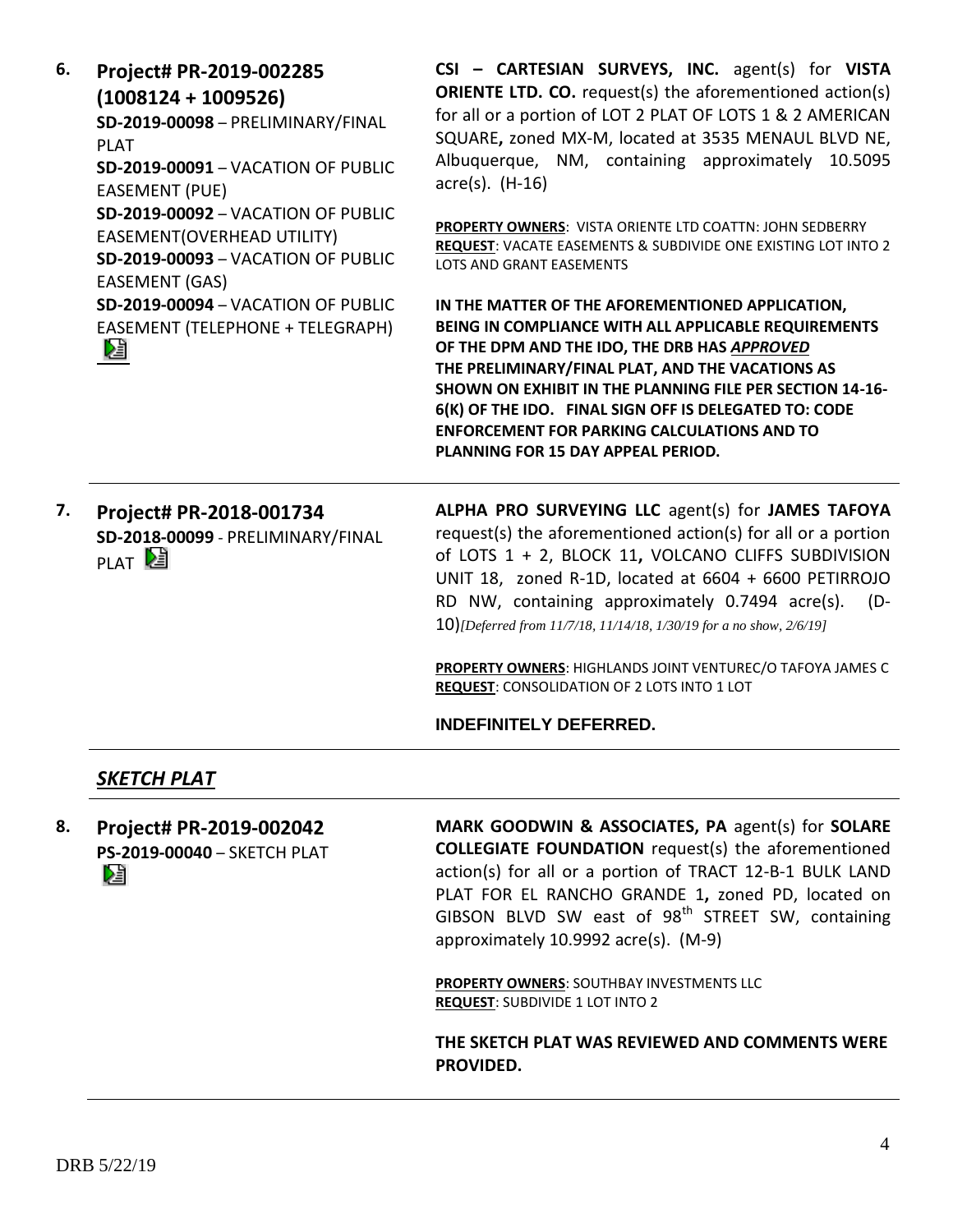| 6. | Project# PR-2019-002285<br>$(1008124 + 1009526)$<br>SD-2019-00098 - PRELIMINARY/FINAL<br><b>PLAT</b><br><b>SD-2019-00091 - VACATION OF PUBLIC</b><br><b>EASEMENT (PUE)</b><br>SD-2019-00092 - VACATION OF PUBLIC<br><b>EASEMENT(OVERHEAD UTILITY)</b><br>SD-2019-00093 - VACATION OF PUBLIC<br>EASEMENT (GAS)<br><b>SD-2019-00094 - VACATION OF PUBLIC</b><br>EASEMENT (TELEPHONE + TELEGRAPH)<br>N | CSI - CARTESIAN SURVEYS, INC. agent(s) for VISTA<br><b>ORIENTE LTD. CO.</b> request(s) the aforementioned action(s)<br>for all or a portion of LOT 2 PLAT OF LOTS 1 & 2 AMERICAN<br>SQUARE, zoned MX-M, located at 3535 MENAUL BLVD NE,<br>Albuquerque, NM, containing approximately 10.5095<br>$\arccos(5)$ . (H-16)                                                                                                                                                                     |
|----|-----------------------------------------------------------------------------------------------------------------------------------------------------------------------------------------------------------------------------------------------------------------------------------------------------------------------------------------------------------------------------------------------------|-------------------------------------------------------------------------------------------------------------------------------------------------------------------------------------------------------------------------------------------------------------------------------------------------------------------------------------------------------------------------------------------------------------------------------------------------------------------------------------------|
|    |                                                                                                                                                                                                                                                                                                                                                                                                     | PROPERTY OWNERS: VISTA ORIENTE LTD COATTN: JOHN SEDBERRY<br>REQUEST: VACATE EASEMENTS & SUBDIVIDE ONE EXISTING LOT INTO 2<br>LOTS AND GRANT EASEMENTS                                                                                                                                                                                                                                                                                                                                     |
|    |                                                                                                                                                                                                                                                                                                                                                                                                     | IN THE MATTER OF THE AFOREMENTIONED APPLICATION,<br>BEING IN COMPLIANCE WITH ALL APPLICABLE REQUIREMENTS<br>OF THE DPM AND THE IDO, THE DRB HAS APPROVED<br>THE PRELIMINARY/FINAL PLAT, AND THE VACATIONS AS<br>SHOWN ON EXHIBIT IN THE PLANNING FILE PER SECTION 14-16-<br>6(K) OF THE IDO. FINAL SIGN OFF IS DELEGATED TO: CODE<br><b>ENFORCEMENT FOR PARKING CALCULATIONS AND TO</b><br>PLANNING FOR 15 DAY APPEAL PERIOD.                                                             |
| 7. | Project# PR-2018-001734<br>SD-2018-00099 - PRELIMINARY/FINAL<br>PLAT <sup>[24]</sup>                                                                                                                                                                                                                                                                                                                | ALPHA PRO SURVEYING LLC agent(s) for JAMES TAFOYA<br>request(s) the aforementioned action(s) for all or a portion<br>of LOTS 1 + 2, BLOCK 11, VOLCANO CLIFFS SUBDIVISION<br>UNIT 18, zoned R-1D, located at 6604 + 6600 PETIRROJO<br>RD NW, containing approximately 0.7494 acre(s).<br>(D-<br>10)[Deferred from 11/7/18, 11/14/18, 1/30/19 for a no show, $2/6/19$ ]<br>PROPERTY OWNERS: HIGHLANDS JOINT VENTUREC/O TAFOYA JAMES C<br><b>REQUEST: CONSOLIDATION OF 2 LOTS INTO 1 LOT</b> |
|    |                                                                                                                                                                                                                                                                                                                                                                                                     | <b>INDEFINITELY DEFERRED.</b>                                                                                                                                                                                                                                                                                                                                                                                                                                                             |
|    | <b>SKETCH PLAT</b>                                                                                                                                                                                                                                                                                                                                                                                  |                                                                                                                                                                                                                                                                                                                                                                                                                                                                                           |
| 8. | Project# PR-2019-002042<br>PS-2019-00040 - SKETCH PLAT<br>DÊ                                                                                                                                                                                                                                                                                                                                        | MARK GOODWIN & ASSOCIATES, PA agent(s) for SOLARE<br><b>COLLEGIATE FOUNDATION</b> request(s) the aforementioned<br>action(s) for all or a portion of TRACT 12-B-1 BULK LAND                                                                                                                                                                                                                                                                                                               |

action(s) for all or a portion of TRACT 12-B-1 BULK LAND PLAT FOR EL RANCHO GRANDE 1**,** zoned PD, located on GIBSON BLVD SW east of 98<sup>th</sup> STREET SW, containing approximately 10.9992 acre(s). (M-9)

**PROPERTY OWNERS**: SOUTHBAY INVESTMENTS LLC **REQUEST**: SUBDIVIDE 1 LOT INTO 2

**THE SKETCH PLAT WAS REVIEWED AND COMMENTS WERE PROVIDED.**